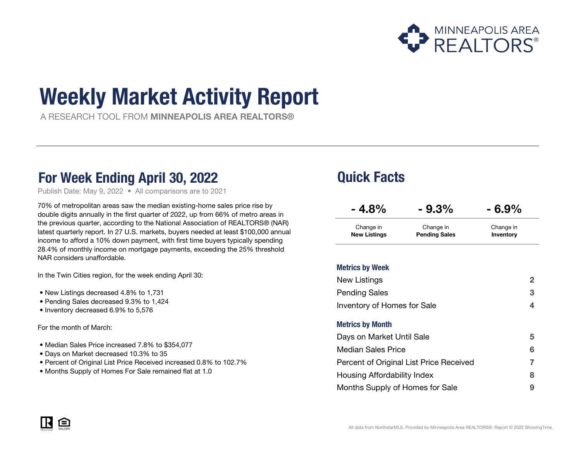

# Weekly Market Activity Report

A RESEARCH TOOL FROM MINNEAPOLIS AREA REALTORS®

### For Week Ending April 30, 2022 **Quick Facts**

Publish Date: May 9, 2022 • All comparisons are to 2021

70% of metropolitan areas saw the median existing-home sales price rise by double digits annually in the first quarter of 2022, up from 66% of metro areas in the previous quarter, according to the National Association of REALTORS® (NAR) latest quarterly report. In 27 U.S. markets, buyers needed at least \$100,000 annual income to afford a 10% down payment, with first time buyers typically spending 28.4% of monthly income on mortgage payments, exceeding the 25% threshold NAR considers unaffordable.

In the Twin Cities region, for the week ending April 30:

- New Listings decreased 4.8% to 1,731
- Pending Sales decreased 9.3% to 1,424
- Inventory decreased 6.9% to 5,576

For the month of March:

- Median Sales Price increased 7.8% to \$354,077
- Days on Market decreased 10.3% to 35
- Percent of Original List Price Received increased 0.8% to 102.7%
- Months Supply of Homes For Sale remained flat at 1.0

| $-4.8\%$            | $-9.3%$              | $-6.9%$   |
|---------------------|----------------------|-----------|
| Change in           | Change in            | Change in |
| <b>New Listings</b> | <b>Pending Sales</b> | Inventory |

#### Metrics by Week

| New Listings                            | 2 |
|-----------------------------------------|---|
| <b>Pending Sales</b>                    | 3 |
| Inventory of Homes for Sale             | 4 |
| <b>Metrics by Month</b>                 |   |
| Days on Market Until Sale               | 5 |
| <b>Median Sales Price</b>               | 6 |
| Percent of Original List Price Received |   |
| Housing Affordability Index             | 8 |
| Months Supply of Homes for Sale         | 9 |

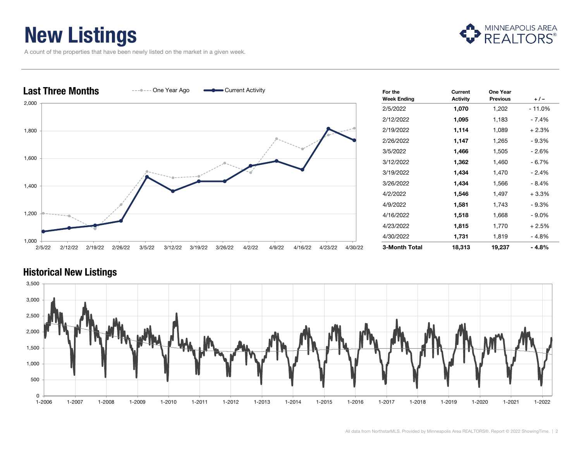## New Listings

A count of the properties that have been newly listed on the market in a given week.



| <b>Last Three Months</b><br>$-- ---$ One Year Ago<br>Current Activity                                                        | For the<br><b>Week Ending</b> | Current<br><b>Activity</b> | One Year<br><b>Previous</b> | $+/-$     |
|------------------------------------------------------------------------------------------------------------------------------|-------------------------------|----------------------------|-----------------------------|-----------|
| 2,000                                                                                                                        | 2/5/2022                      | 1,070                      | 1,202                       | $-11.0\%$ |
|                                                                                                                              | 2/12/2022                     | 1,095                      | 1,183                       | $-7.4%$   |
| 1,800                                                                                                                        | 2/19/2022                     | 1,114                      | 1,089                       | $+2.3%$   |
|                                                                                                                              | 2/26/2022                     | 1,147                      | 1,265                       | $-9.3%$   |
|                                                                                                                              | 3/5/2022                      | 1,466                      | 1,505                       | $-2.6%$   |
| 1,600                                                                                                                        | 3/12/2022                     | 1,362                      | 1,460                       | $-6.7%$   |
|                                                                                                                              | 3/19/2022                     | 1,434                      | 1,470                       | $-2.4%$   |
| 1,400                                                                                                                        | 3/26/2022                     | 1,434                      | 1,566                       | $-8.4%$   |
|                                                                                                                              | 4/2/2022                      | 1,546                      | 1,497                       | $+3.3%$   |
|                                                                                                                              | 4/9/2022                      | 1,581                      | 1,743                       | $-9.3%$   |
| 1,200                                                                                                                        | 4/16/2022                     | 1,518                      | 1,668                       | $-9.0\%$  |
|                                                                                                                              | 4/23/2022                     | 1,815                      | 1,770                       | $+2.5%$   |
| 1,000                                                                                                                        | 4/30/2022                     | 1,731                      | 1,819                       | $-4.8%$   |
| 2/26/22<br>3/5/22<br>3/19/22<br>3/26/22<br>4/2/22<br>4/9/22<br>4/16/22<br>4/23/22<br>2/12/22<br>2/19/22<br>3/12/22<br>2/5/22 | 3-Month Total<br>4/30/22      | 18,313                     | 19,237                      | $-4.8%$   |

### 0 500 1,000 1,500 2,000 2,500 3,000 3,500 1-2006 1-2007 1-2008 1-2009 1-2010 1-2011 1-2012 1-2013 1-2014 1-2015 1-2016 1-2017 1-2018 1-2019 1-2020 1-2021 1-2022

#### Historical New Listings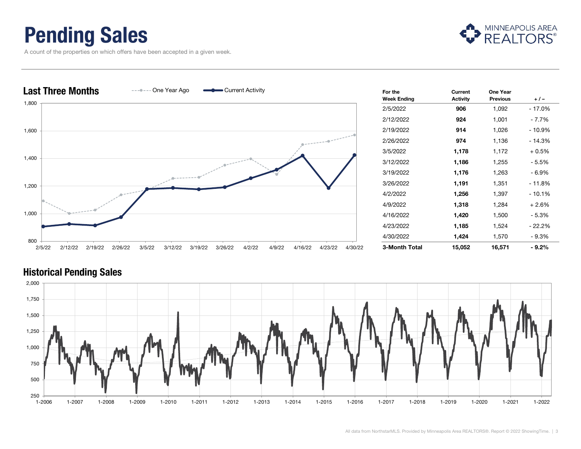### Pending Sales

A count of the properties on which offers have been accepted in a given week.





#### Historical Pending Sales

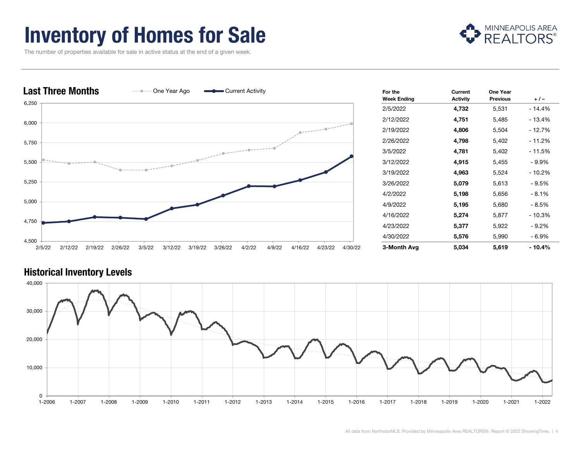## Inventory of Homes for Sale



The number of properties available for sale in active status at the end of a given week.





### Historical Inventory Levels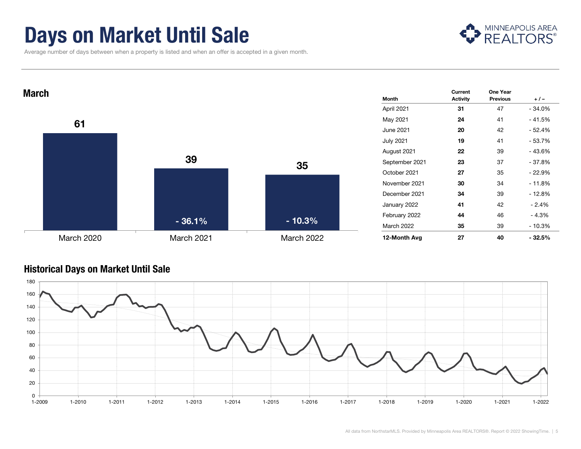### Days on Market Until Sale

MINNEAPOLIS AREA

Average number of days between when a property is listed and when an offer is accepted in a given month.



#### Historical Days on Market Until Sale

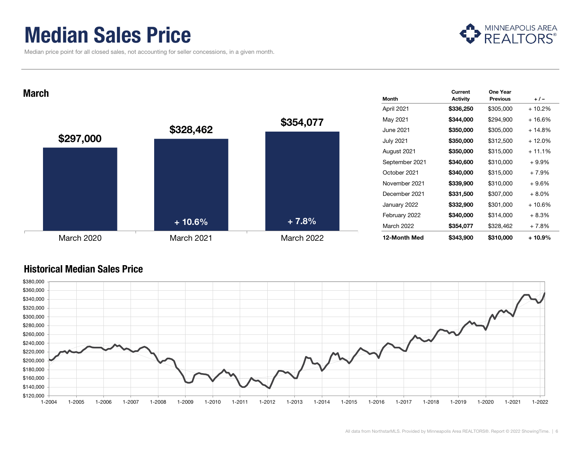### Median Sales Price

Median price point for all closed sales, not accounting for seller concessions, in a given month.



**March** Magnetic Contract of the Contract of the Contract of the Contract of the Contract of the Contract of the Contract of the Contract of the Contract of the Contract of the Contract of the Contract of the Contract of t



| Month             | Current<br><b>Activity</b> | One Year<br><b>Previous</b> | $+/-$    |
|-------------------|----------------------------|-----------------------------|----------|
| April 2021        | \$336,250                  | \$305,000                   | $+10.2%$ |
| May 2021          | \$344,000                  | \$294,900                   | $+16.6%$ |
| June 2021         | \$350,000                  | \$305,000                   | + 14.8%  |
| <b>July 2021</b>  | \$350,000                  | \$312,500                   | $+12.0%$ |
| August 2021       | \$350,000                  | \$315,000                   | + 11.1%  |
| September 2021    | \$340,600                  | \$310,000                   | $+9.9\%$ |
| October 2021      | \$340,000                  | \$315,000                   | + 7.9%   |
| November 2021     | \$339,900                  | \$310,000                   | + 9.6%   |
| December 2021     | \$331,500                  | \$307,000                   | $+8.0\%$ |
| January 2022      | \$332,900                  | \$301,000                   | + 10.6%  |
| February 2022     | \$340,000                  | \$314,000                   | $+8.3%$  |
| <b>March 2022</b> | \$354,077                  | \$328,462                   | $+7.8%$  |
| 12-Month Med      | \$343,900                  | \$310,000                   | + 10.9%  |

#### Historical Median Sales Price

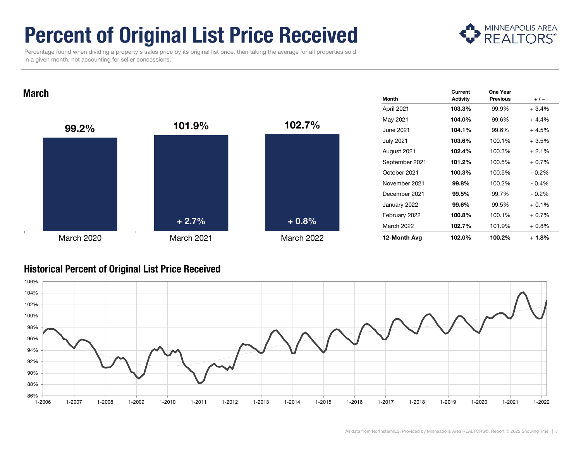# Percent of Original List Price Received



 Percentage found when dividing a property's sales price by its original list price, then taking the average for all properties sold in a given month, not accounting for seller concessions.

**March** Magnetic Contract of the Contract of the Contract of the Contract of the Contract of the Contract of the Contract of the Contract of the Contract of the Contract of the Contract of the Contract of the Contract of t



| <b>Month</b>     | Current<br><b>Activity</b> | One Year<br><b>Previous</b> | $+/-$    |
|------------------|----------------------------|-----------------------------|----------|
| April 2021       | 103.3%                     | 99.9%                       | $+3.4%$  |
| May 2021         | 104.0%                     | 99.6%                       | $+4.4%$  |
| June 2021        | 104.1%                     | 99.6%                       | + 4.5%   |
| <b>July 2021</b> | 103.6%                     | 100.1%                      | $+3.5%$  |
| August 2021      | 102.4%                     | 100.3%                      | $+2.1%$  |
| September 2021   | 101.2%                     | 100.5%                      | $+0.7%$  |
| October 2021     | 100.3%                     | 100.5%                      | $-0.2\%$ |
| November 2021    | 99.8%                      | 100.2%                      | $-0.4%$  |
| December 2021    | 99.5%                      | 99.7%                       | $-0.2\%$ |
| January 2022     | 99.6%                      | 99.5%                       | $+0.1%$  |
| February 2022    | 100.8%                     | 100.1%                      | $+0.7%$  |
| March 2022       | 102.7%                     | 101.9%                      | $+0.8%$  |
| 12-Month Avg     | 102.0%                     | 100.2%                      | + 1.8%   |

#### Historical Percent of Original List Price Received

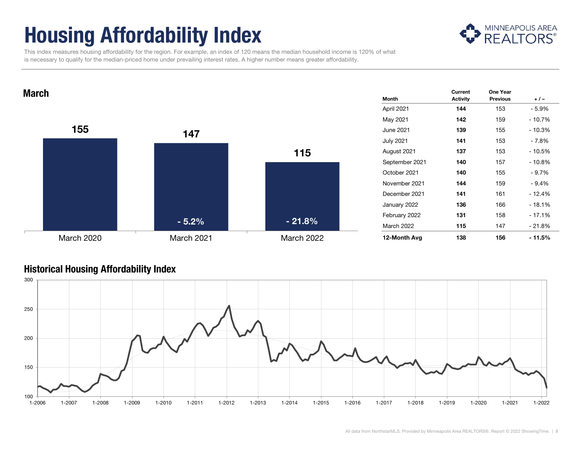# Housing Affordability Index



 This index measures housing affordability for the region. For example, an index of 120 means the median household income is 120% of what is necessary to qualify for the median-priced home under prevailing interest rates. A higher number means greater affordability.



#### Historical Housing Affordability Index